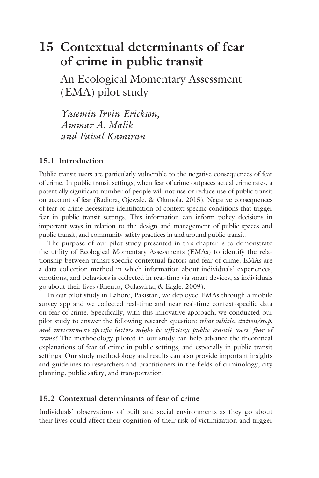# **15 [Contextual determinants of fear](#page--1-0)  of crime in public transit**

An Ecological Momentary Assessment (EMA) pilot study

*Yasemin Irvin-Erickson, Ammar A. Malik and Faisal Kamiran*

### **15.1 Introduction**

Public transit users are particularly vulnerable to the negative consequences of fear of crime. In public transit settings, when fear of crime outpaces actual crime rates, a potentially significant number of people will not use or reduce use of public transit on account of fear (Badiora, Ojewale, & Okunola, 2015). Negative consequences of fear of crime necessitate identification of context-specific conditions that trigger fear in public transit settings. This information can inform policy decisions in important ways in relation to the design and management of public spaces and public transit, and community safety practices in and around public transit.

The purpose of our pilot study presented in this chapter is to demonstrate the utility of Ecological Momentary Assessments (EMAs) to identify the relationship between transit specific contextual factors and fear of crime. EMAs are a data collection method in which information about individuals' experiences, emotions, and behaviors is collected in real-time via smart devices, as individuals go about their lives (Raento, Oulasvirta, & Eagle, 2009).

In our pilot study in Lahore, Pakistan, we deployed EMAs through a mobile survey app and we collected real-time and near real-time context-specific data on fear of crime. Specifically, with this innovative approach, we conducted our pilot study to answer the following research question: *what vehicle, station/stop, and environment specific factors might be affecting public transit users' fear of crime?* The methodology piloted in our study can help advance the theoretical explanations of fear of crime in public settings, and especially in public transit settings. Our study methodology and results can also provide important insights and guidelines to researchers and practitioners in the fields of criminology, city planning, public safety, and transportation.

# **15.2 Contextual determinants of fear of crime**

Individuals' observations of built and social environments as they go about their lives could affect their cognition of their risk of victimization and trigger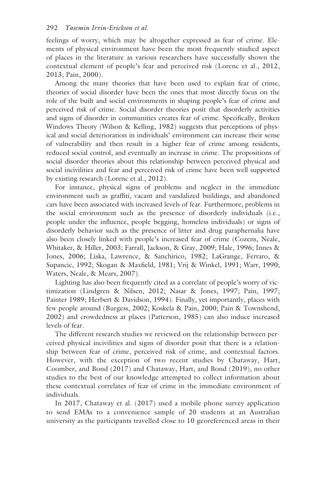feelings of worry, which may be altogether expressed as fear of crime. Elements of physical environment have been the most frequently studied aspect of places in the literature as various researchers have successfully shown the contextual element of people's fear and perceived risk (Lorenc et al., 2012, 2013; Pain, 2000).

Among the many theories that have been used to explain fear of crime, theories of social disorder have been the ones that most directly focus on the role of the built and social environments in shaping people's fear of crime and perceived risk of crime. Social disorder theories posit that disorderly activities and signs of disorder in communities creates fear of crime. Specifically, Broken Windows Theory (Wilson & Kelling, 1982) suggests that perceptions of physical and social deterioration in individuals' environment can increase their sense of vulnerability and then result in a higher fear of crime among residents, reduced social control, and eventually an increase in crime. The propositions of social disorder theories about this relationship between perceived physical and social incivilities and fear and perceived risk of crime have been well supported by existing research (Lorenc et al., 2012).

For instance, physical signs of problems and neglect in the immediate environment such as graffiti, vacant and vandalized buildings, and abandoned cars have been associated with increased levels of fear. Furthermore, problems in the social environment such as the presence of disorderly individuals (i.e., people under the influence, people begging, homeless individuals) or signs of disorderly behavior such as the presence of litter and drug paraphernalia have also been closely linked with people's increased fear of crime (Cozens, Neale, Whitaker, & Hiller, 2003; Farrall, Jackson, & Gray, 2009; Hale, 1996; Innes & Jones, 2006; Liska, Lawrence, & Sanchirico, 1982; LaGrange, Ferraro, & Supancic, 1992; Skogan & Maxfield, 1981; Vrij & Winkel, 1991; Warr, 1990; Waters, Neale, & Mears, 2007).

Lighting has also been frequently cited as a correlate of people's worry of victimization (Lindgren & Nilsen, 2012; Nasar & Jones, 1997; Pain, 1997; Painter 1989; Herbert & Davidson, 1994). Finally, yet importantly, places with few people around (Burgess, 2002; Koskela & Pain, 2000; Pain & Townshend, 2002) and crowdedness at places (Patterson, 1985) can also induce increased levels of fear.

The different research studies we reviewed on the relationship between perceived physical incivilities and signs of disorder posit that there is a relationship between fear of crime, perceived risk of crime, and contextual factors. However, with the exception of two recent studies by Chataway, Hart, Coomber, and Bond (2017) and Chataway, Hart, and Bond (2019), no other studies to the best of our knowledge attempted to collect information about these contextual correlates of fear of crime in the immediate environment of individuals.

In 2017, Chataway et al. (2017) used a mobile phone survey application to send EMAs to a convenience sample of 20 students at an Australian university as the participants travelled close to 10 georeferenced areas in their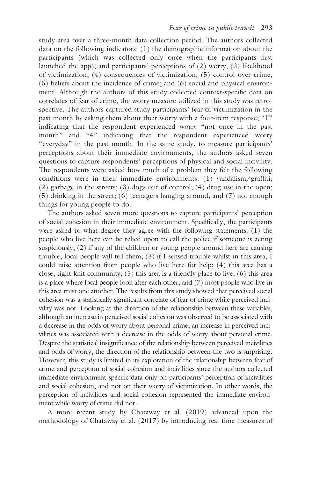study area over a three-month data collection period. The authors collected data on the following indicators: (1) the demographic information about the participants (which was collected only once when the participants first launched the app); and participants' perceptions of (2) worry, (3) likelihood of victimization, (4) consequences of victimization, (5) control over crime, (5) beliefs about the incidence of crime; and (6) social and physical environment. Although the authors of this study collected context-specific data on correlates of fear of crime, the worry measure utilized in this study was retrospective. The authors captured study participants' fear of victimization in the past month by asking them about their worry with a four-item response; "1" indicating that the respondent experienced worry "not once in the past month" and "4" indicating that the respondent experienced worry "everyday" in the past month. In the same study, to measure participants' perceptions about their immediate environments, the authors asked seven questions to capture respondents' perceptions of physical and social incivility. The respondents were asked how much of a problem they felt the following conditions were in their immediate environments: (1) vandalism/graffiti; (2) garbage in the streets; (3) dogs out of control; (4) drug use in the open; (5) drinking in the street; (6) teenagers hanging around, and (7) not enough things for young people to do.

The authors asked seven more questions to capture participants' perception of social cohesion in their immediate environment. Specifically, the participants were asked to what degree they agree with the following statements: (1) the people who live here can be relied upon to call the police if someone is acting suspiciously; (2) if any of the children or young people around here are causing trouble, local people will tell them; (3) if I sensed trouble whilst in this area, I could raise attention from people who live here for help; (4) this area has a close, tight-knit community; (5) this area is a friendly place to live; (6) this area is a place where local people look after each other; and (7) most people who live in this area trust one another. The results from this study showed that perceived social cohesion was a statistically significant correlate of fear of crime while perceived incivility was not. Looking at the direction of the relationship between these variables, although an increase in perceived social cohesion was observed to be associated with a decrease in the odds of worry about personal crime, an increase in perceived incivilities was associated with a decrease in the odds of worry about personal crime. Despite the statistical insignificance of the relationship between perceived incivilities and odds of worry, the direction of the relationship between the two is surprising. However, this study is limited in its exploration of the relationship between fear of crime and perception of social cohesion and incivilities since the authors collected immediate environment specific data only on participants' perception of incivilities and social cohesion, and not on their worry of victimization. In other words, the perception of incivilities and social cohesion represented the immediate environment while worry of crime did not.

A more recent study by Chataway et al. (2019) advanced upon the methodology of Chataway et al. (2017) by introducing real-time measures of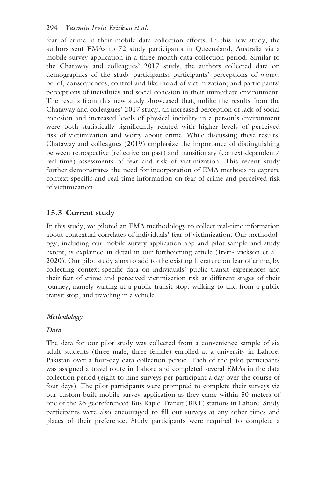fear of crime in their mobile data collection efforts. In this new study, the authors sent EMAs to 72 study participants in Queensland, Australia via a mobile survey application in a three-month data collection period. Similar to the Chataway and colleagues' 2017 study, the authors collected data on demographics of the study participants; participants' perceptions of worry, belief, consequences, control and likelihood of victimization; and participants' perceptions of incivilities and social cohesion in their immediate environment. The results from this new study showcased that, unlike the results from the Chataway and colleagues' 2017 study, an increased perception of lack of social cohesion and increased levels of physical incivility in a person's environment were both statistically significantly related with higher levels of perceived risk of victimization and worry about crime. While discussing these results, Chataway and colleagues (2019) emphasize the importance of distinguishing between retrospective (reflective on past) and transitionary (context-dependent/ real-time) assessments of fear and risk of victimization. This recent study further demonstrates the need for incorporation of EMA methods to capture context-specific and real-time information on fear of crime and perceived risk of victimization.

# **15.3 Current study**

In this study, we piloted an EMA methodology to collect real-time information about contextual correlates of individuals' fear of victimization. Our methodology, including our mobile survey application app and pilot sample and study extent, is explained in detail in our forthcoming article (Irvin-Erickson et al., 2020). Our pilot study aims to add to the existing literature on fear of crime, by collecting context-specific data on individuals' public transit experiences and their fear of crime and perceived victimization risk at different stages of their journey, namely waiting at a public transit stop, walking to and from a public transit stop, and traveling in a vehicle.

# *Methodology*

# *Data*

The data for our pilot study was collected from a convenience sample of six adult students (three male, three female) enrolled at a university in Lahore, Pakistan over a four-day data collection period. Each of the pilot participants was assigned a travel route in Lahore and completed several EMAs in the data collection period (eight to nine surveys per participant a day over the course of four days). The pilot participants were prompted to complete their surveys via our custom-built mobile survey application as they came within 50 meters of one of the 26 georeferenced Bus Rapid Transit (BRT) stations in Lahore. Study participants were also encouraged to fill out surveys at any other times and places of their preference. Study participants were required to complete a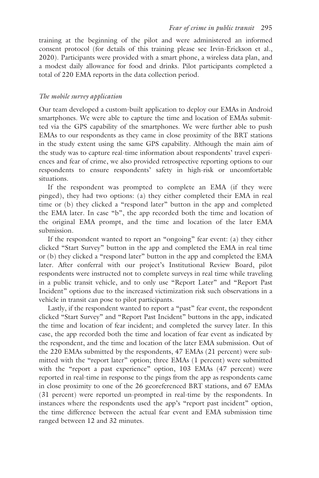training at the beginning of the pilot and were administered an informed consent protocol (for details of this training please see Irvin-Erickson et al., 2020). Participants were provided with a smart phone, a wireless data plan, and a modest daily allowance for food and drinks. Pilot participants completed a total of 220 EMA reports in the data collection period.

#### *The mobile survey application*

Our team developed a custom-built application to deploy our EMAs in Android smartphones. We were able to capture the time and location of EMAs submitted via the GPS capability of the smartphones. We were further able to push EMAs to our respondents as they came in close proximity of the BRT stations in the study extent using the same GPS capability. Although the main aim of the study was to capture real-time information about respondents' travel experiences and fear of crime, we also provided retrospective reporting options to our respondents to ensure respondents' safety in high-risk or uncomfortable situations.

If the respondent was prompted to complete an EMA (if they were pinged), they had two options: (a) they either completed their EMA in real time or (b) they clicked a "respond later" button in the app and completed the EMA later. In case "b", the app recorded both the time and location of the original EMA prompt, and the time and location of the later EMA submission.

If the respondent wanted to report an "ongoing" fear event: (a) they either clicked "Start Survey" button in the app and completed the EMA in real time or (b) they clicked a "respond later" button in the app and completed the EMA later. After conferral with our project's Institutional Review Board, pilot respondents were instructed not to complete surveys in real time while traveling in a public transit vehicle, and to only use "Report Later" and "Report Past Incident" options due to the increased victimization risk such observations in a vehicle in transit can pose to pilot participants.

Lastly, if the respondent wanted to report a "past" fear event, the respondent clicked "Start Survey" and "Report Past Incident" buttons in the app, indicated the time and location of fear incident; and completed the survey later. In this case, the app recorded both the time and location of fear event as indicated by the respondent, and the time and location of the later EMA submission. Out of the 220 EMAs submitted by the respondents, 47 EMAs (21 percent) were submitted with the "report later" option; three EMAs (1 percent) were submitted with the "report a past experience" option, 103 EMAs (47 percent) were reported in real-time in response to the pings from the app as respondents came in close proximity to one of the 26 georeferenced BRT stations, and 67 EMAs (31 percent) were reported un-prompted in real-time by the respondents. In instances where the respondents used the app's "report past incident" option, the time difference between the actual fear event and EMA submission time ranged between 12 and 32 minutes.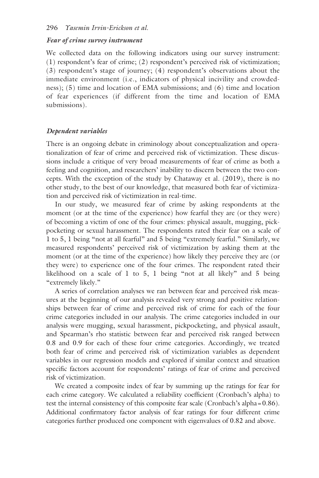#### 296 *Yasemin Irvin-Erickson et al.*

#### *Fear of crime survey instrument*

We collected data on the following indicators using our survey instrument: (1) respondent's fear of crime; (2) respondent's perceived risk of victimization; (3) respondent's stage of journey; (4) respondent's observations about the immediate environment (i.e., indicators of physical incivility and crowdedness); (5) time and location of EMA submissions; and (6) time and location of fear experiences (if different from the time and location of EMA submissions).

#### *Dependent variables*

There is an ongoing debate in criminology about conceptualization and operationalization of fear of crime and perceived risk of victimization. These discussions include a critique of very broad measurements of fear of crime as both a feeling and cognition, and researchers' inability to discern between the two concepts. With the exception of the study by Chataway et al. (2019), there is no other study, to the best of our knowledge, that measured both fear of victimization and perceived risk of victimization in real-time.

In our study, we measured fear of crime by asking respondents at the moment (or at the time of the experience) how fearful they are (or they were) of becoming a victim of one of the four crimes: physical assault, mugging, pickpocketing or sexual harassment. The respondents rated their fear on a scale of 1 to 5, 1 being "not at all fearful" and 5 being "extremely fearful." Similarly, we measured respondents' perceived risk of victimization by asking them at the moment (or at the time of the experience) how likely they perceive they are (or they were) to experience one of the four crimes. The respondent rated their likelihood on a scale of 1 to 5, 1 being "not at all likely" and 5 being "extremely likely."

A series of correlation analyses we ran between fear and perceived risk measures at the beginning of our analysis revealed very strong and positive relationships between fear of crime and perceived risk of crime for each of the four crime categories included in our analysis. The crime categories included in our analysis were mugging, sexual harassment, pickpocketing, and physical assault, and Spearman's rho statistic between fear and perceived risk ranged between 0.8 and 0.9 for each of these four crime categories. Accordingly, we treated both fear of crime and perceived risk of victimization variables as dependent variables in our regression models and explored if similar context and situation specific factors account for respondents' ratings of fear of crime and perceived risk of victimization.

We created a composite index of fear by summing up the ratings for fear for each crime category. We calculated a reliability coefficient (Cronbach's alpha) to test the internal consistency of this composite fear scale (Cronbach's alpha=0.86). Additional confirmatory factor analysis of fear ratings for four different crime categories further produced one component with eigenvalues of 0.82 and above.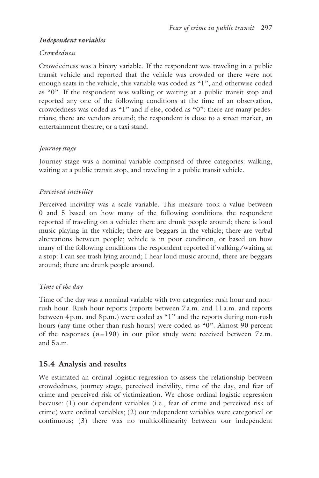#### *Independent variables*

#### *Crowdedness*

Crowdedness was a binary variable. If the respondent was traveling in a public transit vehicle and reported that the vehicle was crowded or there were not enough seats in the vehicle, this variable was coded as "1", and otherwise coded as "0". If the respondent was walking or waiting at a public transit stop and reported any one of the following conditions at the time of an observation, crowdedness was coded as "1" and if else, coded as "0": there are many pedestrians; there are vendors around; the respondent is close to a street market, an entertainment theatre; or a taxi stand.

# *Journey stage*

Journey stage was a nominal variable comprised of three categories: walking, waiting at a public transit stop, and traveling in a public transit vehicle.

# *Perceived incivility*

Perceived incivility was a scale variable. This measure took a value between 0 and 5 based on how many of the following conditions the respondent reported if traveling on a vehicle: there are drunk people around; there is loud music playing in the vehicle; there are beggars in the vehicle; there are verbal altercations between people; vehicle is in poor condition, or based on how many of the following conditions the respondent reported if walking/waiting at a stop: I can see trash lying around; I hear loud music around, there are beggars around; there are drunk people around.

# *Time of the day*

Time of the day was a nominal variable with two categories: rush hour and nonrush hour. Rush hour reports (reports between 7a.m. and 11a.m. and reports between 4p.m. and 8p.m.) were coded as "1" and the reports during non-rush hours (any time other than rush hours) were coded as "0". Almost 90 percent of the responses  $(n=190)$  in our pilot study were received between  $7a.m.$ and 5a.m.

# **15.4 Analysis and results**

We estimated an ordinal logistic regression to assess the relationship between crowdedness, journey stage, perceived incivility, time of the day, and fear of crime and perceived risk of victimization. We chose ordinal logistic regression because: (1) our dependent variables (i.e., fear of crime and perceived risk of crime) were ordinal variables; (2) our independent variables were categorical or continuous; (3) there was no multicollinearity between our independent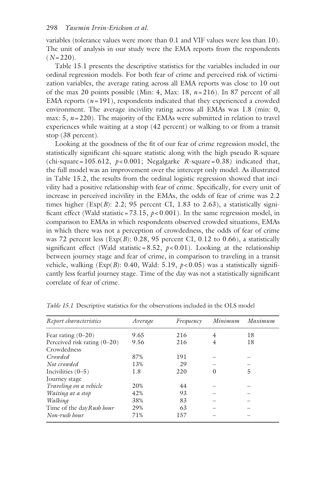variables (tolerance values were more than 0.1 and VIF values were less than 10). The unit of analysis in our study were the EMA reports from the respondents  $(N=220)$ .

[Table 15.1](#page--1-0) presents the descriptive statistics for the variables included in our ordinal regression models. For both fear of crime and perceived risk of victimization variables, the average rating across all EMA reports was close to 10 out of the max 20 points possible (Min: 4, Max: 18, *n*=216). In 87 percent of all EMA reports (*n*=191), respondents indicated that they experienced a crowded environment. The average incivility rating across all EMAs was 1.8 (min: 0, max:  $5, n=220$ ). The majority of the EMAs were submitted in relation to travel experiences while waiting at a stop (42 percent) or walking to or from a transit stop (38 percent).

Looking at the goodness of the fit of our fear of crime regression model, the statistically significant chi-square statistic along with the high pseudo R-square (chi-square=105.612,  $p < 0.001$ ; Negalgarke *R*-square=0.38) indicated that, the full model was an improvement over the intercept only model. As illustrated in [Table 15.2,](#page--1-0) the results from the ordinal logistic regression showed that incivility had a positive relationship with fear of crime. Specifically, for every unit of increase in perceived incivility in the EMAs, the odds of fear of crime was 2.2 times higher (Exp( $B$ ): 2.2; 95 percent CI, 1.83 to 2.63), a statistically significant effect (Wald statistic=73.15,  $p < 0.001$ ). In the same regression model, in comparison to EMAs in which respondents observed crowded situations, EMAs in which there was not a perception of crowdedness, the odds of fear of crime was 72 percent less (Exp(*B*): 0.28, 95 percent CI, 0.12 to 0.66), a statistically significant effect (Wald statistic=8.52,  $p < 0.01$ ). Looking at the relationship between journey stage and fear of crime, in comparison to traveling in a transit vehicle, walking  $(Exp(B): 0.40, Wald: 5.19, p<0.05)$  was a statistically significantly less fearful journey stage. Time of the day was not a statistically significant correlate of fear of crime.

| Report characteristics         | Average | Frequency | Minimum        | Maximum |
|--------------------------------|---------|-----------|----------------|---------|
| Fear rating $(0-20)$           | 9.65    | 216       | $\overline{4}$ | 18      |
| Perceived risk rating $(0-20)$ | 9.56    | 216       | $\overline{4}$ | 18      |
| Crowdedness                    |         |           |                |         |
| Crowded                        | 87%     | 191       |                |         |
| Not crowded                    | 13%     | 29        |                |         |
| Incivilities $(0-5)$           | 1.8     | 220       | $\Omega$       | 5       |
| Journey stage                  |         |           |                |         |
| Traveling on a vehicle         | 20%     | 44        |                |         |
| Waiting at a stop              | 42%     | 93        |                |         |
| Walking                        | 38%     | 83        |                |         |
| Time of the day Rush hour      | 29%     | 63        |                |         |
| Non-rush hour                  | 71%     | 157       |                |         |

*[Table 15.1](#page--1-0)* Descriptive statistics for the observations included in the OLS model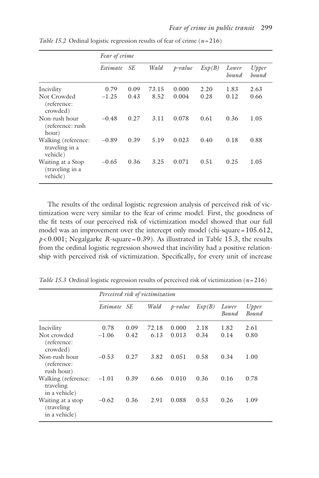|                                                   | Fear of crime |      |       |         |        |                |                |
|---------------------------------------------------|---------------|------|-------|---------|--------|----------------|----------------|
|                                                   | Estimate      | SЕ   | Wald  | p-value | Exp(B) | Lower<br>hound | Upper<br>hound |
| Incivility                                        | 0.79          | 0.09 | 73.15 | 0.000   | 2.20   | 1.83           | 2.63           |
| Not Crowded<br>(reference:<br>crowded)            | $-1.25$       | 0.43 | 8.52  | 0.004   | 0.28   | 0.12           | 0.66           |
| Non-rush hour<br>(reference: rush<br>hour)        | $-0.48$       | 0.27 | 3.11  | 0.078   | 0.61   | 0.36           | 1.05           |
| Walking (reference:<br>traveling in a<br>vehicle) | $-0.89$       | 0.39 | 5.19  | 0.023   | 0.40   | 0.18           | 0.88           |
| Waiting at a Stop<br>(traveling in a<br>vehicle)  | $-0.65$       | 0.36 | 3.25  | 0.071   | 0.51   | 0.25           | 1.05           |

*[Table 15.2](#page--1-0)* Ordinal logistic regression results of fear of crime (*n*=216)

The results of the ordinal logistic regression analysis of perceived risk of victimization were very similar to the fear of crime model. First, the goodness of the fit tests of our perceived risk of victimization model showed that our full model was an improvement over the intercept only model (chi-square=105.612,  $p$ <0.001; Negalgarke *R*-square=0.39). As illustrated in [Table 15.3,](#page--1-0) the results from the ordinal logistic regression showed that incivility had a positive relationship with perceived risk of victimization. Specifically, for every unit of increase

|                                                   | Perceived risk of victimization |      |       |         |        |                       |                       |  |
|---------------------------------------------------|---------------------------------|------|-------|---------|--------|-----------------------|-----------------------|--|
|                                                   | Estimate                        | - SE | Wald  | p-value | Exp(B) | Lower<br><b>Bound</b> | Upper<br><b>Bound</b> |  |
| Incivility                                        | 0.78                            | 0.09 | 72.18 | 0.000   | 2.18   | 1.82                  | 2.61                  |  |
| Not crowded<br>(reference:<br>crowded)            | $-1.06$                         | 0.42 | 6.13  | 0.013   | 0.34   | 0.14                  | 0.80                  |  |
| Non-rush hour<br>(reference:<br>rush hour)        | $-0.53$                         | 0.27 | 3.82  | 0.051   | 0.58   | 0.34                  | 1.00                  |  |
| Walking (reference:<br>traveling<br>in a vehicle) | $-1.01$                         | 0.39 | 6.66  | 0.010   | 0.36   | 0.16                  | 0.78                  |  |
| Waiting at a stop<br>(traveling)<br>in a vehicle) | $-0.62$                         | 0.36 | 2.91  | 0.088   | 0.53   | 0.26                  | 1.09                  |  |

*[Table 15.3](#page--1-0)* Ordinal logistic regression results of perceived risk of victimization (*n*=216)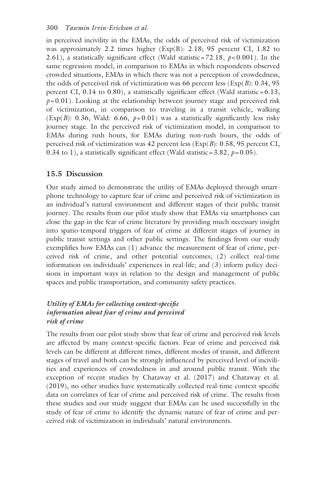in perceived incivility in the EMAs, the odds of perceived risk of victimization was approximately 2.2 times higher (Exp(B): 2.18; 95 percent CI, 1.82 to 2.61), a statistically significant effect (Wald statistic=72.18, *p*<0.001). In the same regression model, in comparison to EMAs in which respondents observed crowded situations, EMAs in which there was not a perception of crowdedness, the odds of perceived risk of victimization was 66 percent less (Exp(*B*): 0.34, 95 percent CI, 0.14 to 0.80), a statistically significant effect (Wald statistic=6.13,  $p=0.01$ ). Looking at the relationship between journey stage and perceived risk of victimization, in comparison to traveling in a transit vehicle, walking (Exp(*B*): 0.36, Wald: 6.66,  $p=0.01$ ) was a statistically significantly less risky journey stage. In the perceived risk of victimization model, in comparison to EMAs during rush hours, for EMAs during non-rush hours, the odds of perceived risk of victimization was 42 percent less (Exp(*B*): 0.58, 95 percent CI, 0.34 to 1), a statistically significant effect (Wald statistic =  $3.82$ ,  $p=0.05$ ).

# **15.5 Discussion**

Our study aimed to demonstrate the utility of EMAs deployed through smartphone technology to capture fear of crime and perceived risk of victimization in an individual's natural environment and different stages of their public transit journey. The results from our pilot study show that EMAs via smartphones can close the gap in the fear of crime literature by providing much necessary insight into spatio-temporal triggers of fear of crime at different stages of journey in public transit settings and other public settings. The findings from our study exemplifies how EMAs can (1) advance the measurement of fear of crime, perceived risk of crime, and other potential outcomes; (2) collect real-time information on individuals' experiences in real-life; and (3) inform policy decisions in important ways in relation to the design and management of public spaces and public transportation, and community safety practices.

# *Utility of EMAs for collecting context-specific information about fear of crime and perceived risk of crime*

The results from our pilot study show that fear of crime and perceived risk levels are affected by many context-specific factors. Fear of crime and perceived risk levels can be different at different times, different modes of transit, and different stages of travel and both can be strongly influenced by perceived level of incivilities and experiences of crowdedness in and around public transit. With the exception of recent studies by Chataway et al. (2017) and Chataway et al. (2019), no other studies have systematically collected real-time context specific data on correlates of fear of crime and perceived risk of crime. The results from these studies and our study suggest that EMAs can be used successfully in the study of fear of crime to identify the dynamic nature of fear of crime and perceived risk of victimization in individuals' natural environments.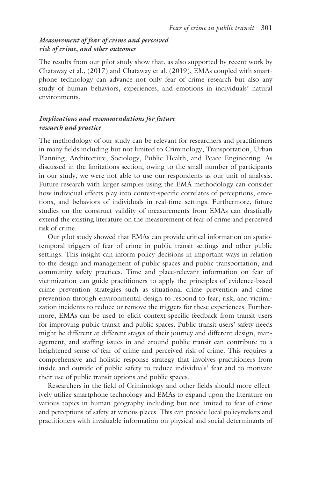#### *Measurement of fear of crime and perceived risk of crime, and other outcomes*

The results from our pilot study show that, as also supported by recent work by Chataway et al., (2017) and Chataway et al. (2019), EMAs coupled with smartphone technology can advance not only fear of crime research but also any study of human behaviors, experiences, and emotions in individuals' natural environments.

#### *Implications and recommendations for future research and practice*

The methodology of our study can be relevant for researchers and practitioners in many fields including but not limited to Criminology, Transportation, Urban Planning, Architecture, Sociology, Public Health, and Peace Engineering. As discussed in the limitations section, owing to the small number of participants in our study, we were not able to use our respondents as our unit of analysis. Future research with larger samples using the EMA methodology can consider how individual effects play into context-specific correlates of perceptions, emotions, and behaviors of individuals in real-time settings. Furthermore, future studies on the construct validity of measurements from EMAs can drastically extend the existing literature on the measurement of fear of crime and perceived risk of crime.

Our pilot study showed that EMAs can provide critical information on spatiotemporal triggers of fear of crime in public transit settings and other public settings. This insight can inform policy decisions in important ways in relation to the design and management of public spaces and public transportation, and community safety practices. Time and place-relevant information on fear of victimization can guide practitioners to apply the principles of evidence-based crime prevention strategies such as situational crime prevention and crime prevention through environmental design to respond to fear, risk, and victimization incidents to reduce or remove the triggers for these experiences. Furthermore, EMAs can be used to elicit context-specific feedback from transit users for improving public transit and public spaces. Public transit users' safety needs might be different at different stages of their journey and different design, management, and staffing issues in and around public transit can contribute to a heightened sense of fear of crime and perceived risk of crime. This requires a comprehensive and holistic response strategy that involves practitioners from inside and outside of public safety to reduce individuals' fear and to motivate their use of public transit options and public spaces.

Researchers in the field of Criminology and other fields should more effectively utilize smartphone technology and EMAs to expand upon the literature on various topics in human geography including but not limited to fear of crime and perceptions of safety at various places. This can provide local policymakers and practitioners with invaluable information on physical and social determinants of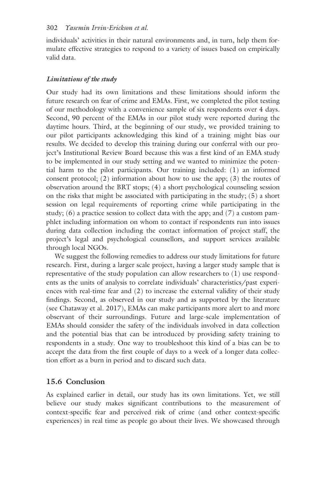individuals' activities in their natural environments and, in turn, help them formulate effective strategies to respond to a variety of issues based on empirically valid data.

#### *Limitations of the study*

Our study had its own limitations and these limitations should inform the future research on fear of crime and EMAs. First, we completed the pilot testing of our methodology with a convenience sample of six respondents over 4 days. Second, 90 percent of the EMAs in our pilot study were reported during the daytime hours. Third, at the beginning of our study, we provided training to our pilot participants acknowledging this kind of a training might bias our results. We decided to develop this training during our conferral with our project's Institutional Review Board because this was a first kind of an EMA study to be implemented in our study setting and we wanted to minimize the potential harm to the pilot participants. Our training included: (1) an informed consent protocol; (2) information about how to use the app; (3) the routes of observation around the BRT stops; (4) a short psychological counseling session on the risks that might be associated with participating in the study; (5) a short session on legal requirements of reporting crime while participating in the study; (6) a practice session to collect data with the app; and (7) a custom pamphlet including information on whom to contact if respondents run into issues during data collection including the contact information of project staff, the project's legal and psychological counsellors, and support services available through local NGOs.

We suggest the following remedies to address our study limitations for future research. First, during a larger scale project, having a larger study sample that is representative of the study population can allow researchers to (1) use respondents as the units of analysis to correlate individuals' characteristics/past experiences with real-time fear and (2) to increase the external validity of their study findings. Second, as observed in our study and as supported by the literature (see Chataway et al. 2017), EMAs can make participants more alert to and more observant of their surroundings. Future and large-scale implementation of EMAs should consider the safety of the individuals involved in data collection and the potential bias that can be introduced by providing safety training to respondents in a study. One way to troubleshoot this kind of a bias can be to accept the data from the first couple of days to a week of a longer data collection effort as a burn in period and to discard such data.

# **15.6 Conclusion**

As explained earlier in detail, our study has its own limitations. Yet, we still believe our study makes significant contributions to the measurement of context-specific fear and perceived risk of crime (and other context-specific experiences) in real time as people go about their lives. We showcased through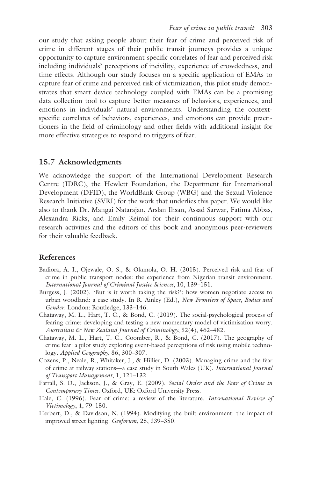our study that asking people about their fear of crime and perceived risk of crime in different stages of their public transit journeys provides a unique opportunity to capture environment-specific correlates of fear and perceived risk including individuals' perceptions of incivility, experience of crowdedness, and time effects. Although our study focuses on a specific application of EMAs to capture fear of crime and perceived risk of victimization, this pilot study demonstrates that smart device technology coupled with EMAs can be a promising data collection tool to capture better measures of behaviors, experiences, and emotions in individuals' natural environments. Understanding the contextspecific correlates of behaviors, experiences, and emotions can provide practitioners in the field of criminology and other fields with additional insight for more effective strategies to respond to triggers of fear.

#### **15.7 Acknowledgments**

We acknowledge the support of the International Development Research Centre (IDRC), the Hewlett Foundation, the Department for International Development (DFID), the WorldBank Group (WBG) and the Sexual Violence Research Initiative (SVRI) for the work that underlies this paper. We would like also to thank Dr. Mangai Natarajan, Arslan Ihsan, Assad Sarwar, Fatima Abbas, Alexandra Ricks, and Emily Reimal for their continuous support with our research activities and the editors of this book and anonymous peer-reviewers for their valuable feedback.

#### **References**

- Badiora, A. I., Ojewale, O. S., & Okunola, O. H. (2015). Perceived risk and fear of crime in public transport nodes: the experience from Nigerian transit environment. *International Journal of Criminal Justice Sciences*, 10, 139–151.
- Burgess, J. (2002). 'But is it worth taking the risk?': how women negotiate access to urban woodland: a case study. In R. Ainley (Ed.), *New Frontiers of Space, Bodies and Gender*. London: Routledge, 133–146.
- Chataway, M. L., Hart, T. C., & Bond, C. (2019). The social-psychological process of fearing crime: developing and testing a new momentary model of victimisation worry. *Australian & New Zealand Journal of Criminology*, 52(4), 462–482.
- Chataway, M. L., Hart, T. C., Coomber, R., & Bond, C. (2017). The geography of crime fear: a pilot study exploring event-based perceptions of risk using mobile technology. *Applied Geography*, 86, 300–307.
- Cozens, P., Neale, R., Whitaker, J., & Hillier, D. (2003). Managing crime and the fear of crime at railway stations––a case study in South Wales (UK). *International Journal of Transport Management*, 1, 121–132.
- Farrall, S. D., Jackson, J., & Gray, E. (2009). *Social Order and the Fear of Crime in Contemporary Times*. Oxford, UK: Oxford University Press.
- Hale, C. (1996). Fear of crime: a review of the literature. *International Review of Victimology*, 4, 79–150.
- Herbert, D., & Davidson, N. (1994). Modifying the built environment: the impact of improved street lighting. *Geoforum*, 25, 339–350.